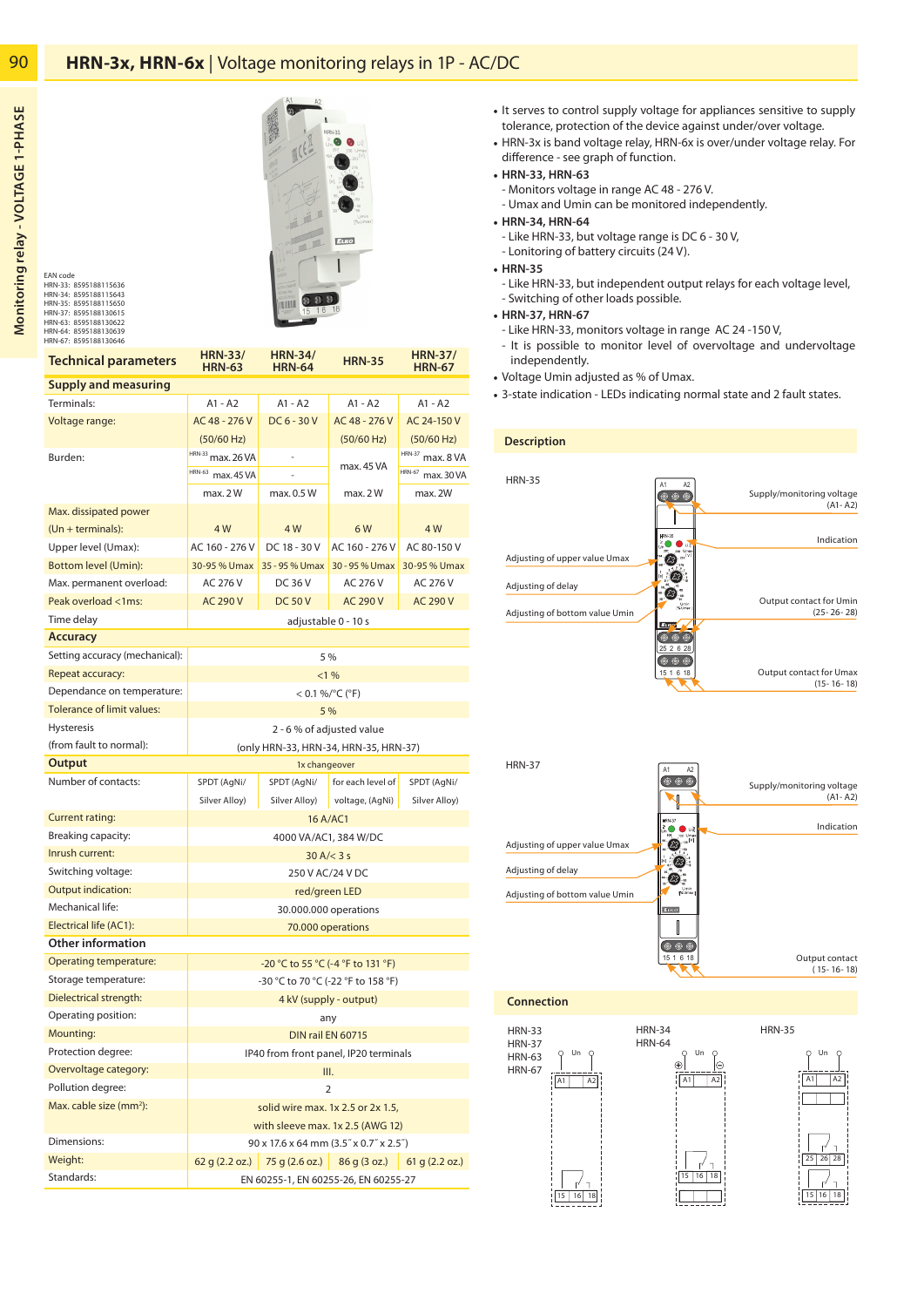

8595188115636 8595188115643 8595188115650 8595188130615 8595188130622 8595188130639 8595188130646 HRN-33: HRN-34: HRN-35: HRN-37: HRN-63: HRN-64: HRN-67: EAN code

Standards:

| <b>Technical parameters</b>         | <b>HRN-33/</b><br><b>HRN-63</b>        | <b>HRN-34/</b><br><b>HRN-64</b> | <b>HRN-35</b>                 | <b>HRN-37/</b><br><b>HRN-67</b> |
|-------------------------------------|----------------------------------------|---------------------------------|-------------------------------|---------------------------------|
| Supply and measuring                |                                        |                                 |                               |                                 |
| Terminals:                          | A1 - A2                                | $A1 - A2$                       | $A1 - A2$                     | $A1 - A2$                       |
| Voltage range:                      | AC 48 - 276 V                          | $DC6 - 30V$                     | AC 48 - 276 V                 | AC 24-150 V                     |
|                                     | (50/60 Hz)                             |                                 | (50/60 Hz)                    | (50/60 Hz)                      |
| Burden:                             | HRN-33 max. 26 VA                      |                                 |                               | HRN-37 max. 8 VA                |
|                                     | HRN-63 max. 45 VA                      |                                 | max. 45 VA                    | HRN-67 max. 30 VA               |
|                                     | max.2W                                 | max. 0.5 W                      | max.2W                        | max. 2W                         |
| Max. dissipated power               |                                        |                                 |                               |                                 |
| $(Un + terminals):$                 | 4 W                                    | 4 W                             | 6W                            | 4 W                             |
| Upper level (Umax):                 | AC 160 - 276 V                         | DC 18 - 30 V                    | AC 160 - 276 V                | AC 80-150 V                     |
| <b>Bottom level (Umin):</b>         | 30-95 % Umax                           | 35 - 95 % Umax                  | 30 - 95 % Umax                | 30-95 % Umax                    |
| Max. permanent overload:            | AC 276 V                               | DC 36 V                         | AC 276 V                      | AC 276 V                        |
| Peak overload <1ms:                 | <b>AC 290 V</b>                        | <b>DC 50 V</b>                  | <b>AC 290 V</b>               | <b>AC 290 V</b>                 |
| Time delay                          | adjustable 0 - 10 s                    |                                 |                               |                                 |
| <b>Accuracy</b>                     |                                        |                                 |                               |                                 |
| Setting accuracy (mechanical):      | 5 %                                    |                                 |                               |                                 |
| Repeat accuracy:                    | <1%                                    |                                 |                               |                                 |
| Dependance on temperature:          | $< 0.1 %$ %/°C (°F)                    |                                 |                               |                                 |
| <b>Tolerance of limit values:</b>   | 5 %                                    |                                 |                               |                                 |
| <b>Hysteresis</b>                   | 2 - 6 % of adjusted value              |                                 |                               |                                 |
| (from fault to normal):             | (only HRN-33, HRN-34, HRN-35, HRN-37)  |                                 |                               |                                 |
| Output                              | 1x changeover                          |                                 |                               |                                 |
| Number of contacts:                 | SPDT (AgNi/                            | SPDT (AgNi/                     | for each level of             | SPDT (AgNi/                     |
|                                     | Silver Alloy)                          | Silver Alloy)                   | voltage, (AgNi)               | Silver Alloy)                   |
| <b>Current rating:</b>              | 16 A/AC1                               |                                 |                               |                                 |
| Breaking capacity:                  | 4000 VA/AC1, 384 W/DC                  |                                 |                               |                                 |
| Inrush current:                     | 30 A/< 3 s                             |                                 |                               |                                 |
| Switching voltage:                  | 250 V AC/24 V DC                       |                                 |                               |                                 |
| <b>Output indication:</b>           | red/green LED                          |                                 |                               |                                 |
| Mechanical life:                    | 30.000.000 operations                  |                                 |                               |                                 |
| Electrical life (AC1):              | 70.000 operations                      |                                 |                               |                                 |
| Other information                   |                                        |                                 |                               |                                 |
| <b>Operating temperature:</b>       | -20 °C to 55 °C (-4 °F to 131 °F)      |                                 |                               |                                 |
| Storage temperature:                | -30 °C to 70 °C (-22 °F to 158 °F)     |                                 |                               |                                 |
| Dielectrical strength:              | 4 kV (supply - output)                 |                                 |                               |                                 |
| Operating position:                 | any                                    |                                 |                               |                                 |
| Mounting:                           | DIN rail EN 60715                      |                                 |                               |                                 |
| Protection degree:                  | IP40 from front panel, IP20 terminals  |                                 |                               |                                 |
| Overvoltage category:               | III.                                   |                                 |                               |                                 |
| Pollution degree:                   | $\overline{2}$                         |                                 |                               |                                 |
| Max. cable size (mm <sup>2</sup> ): | solid wire max. 1x 2.5 or 2x 1.5,      |                                 |                               |                                 |
|                                     | with sleeve max. 1x 2.5 (AWG 12)       |                                 |                               |                                 |
| Dimensions:                         | 90 x 17.6 x 64 mm (3.5" x 0.7" x 2.5") |                                 |                               |                                 |
| Weight:                             | 62q(2.2 oz.)                           |                                 | $75 g (2.6 oz.)$ 86 g (3 oz.) | 61 g (2.2 oz.)                  |

EN 60255-1, EN 60255-26, EN 60255-27

- It serves to control supply voltage for appliances sensitive to supply tolerance, protection of the device against under/over voltage.
- HRN-3x is band voltage relay, HRN-6x is over/under voltage relay. For difference - see graph of function.
- **HRN-33, HRN-63**
- Monitors voltage in range AC 48 276 V.
- Umax and Umin can be monitored independently.
- **HRN-34, HRN-64** 
	- Like HRN-33, but voltage range is DC 6 30 V,
	- Lonitoring of battery circuits (24 V).
- **HRN-35**
	- Like HRN-33, but independent output relays for each voltage level, - Switching of other loads possible.
- **HRN-37, HRN-67** 
	- Like HRN-33, monitors voltage in range AC 24 -150 V,
- It is possible to monitor level of overvoltage and undervoltage independently.
- Voltage Umin adjusted as % of Umax.
- 3-state indication LEDs indicating normal state and 2 fault states.

| <b>Description</b>             |                            |                                          |
|--------------------------------|----------------------------|------------------------------------------|
|                                |                            |                                          |
| <b>HRN-35</b>                  | A <sub>2</sub><br>A1<br>ああ | Supply/monitoring voltage<br>$(A1 - A2)$ |
|                                | <b>HRN-35</b>              | Indication                               |
| Adjusting of upper value Umax  |                            |                                          |
| Adjusting of delay             |                            | Output contact for Umin                  |
| Adjusting of bottom value Umin | [% Unter                   | $(25 - 26 - 28)$                         |
|                                | Erre<br>25 2 6 28          |                                          |
|                                | 15 1 6 18                  | Output contact for Umax                  |
|                                |                            | $(15 - 16 - 18)$                         |



 **Connection**

HRN-33 HRN-37 HRN-63 HRN-67 15 16 18  $\overline{A1}$ Un

HRN-34 HRN-35 HRN-64 15 16 18 | A1 | A2 0 un o<br>+ E

 25 26 28 15 16 18 | A1 | A2 Un

90